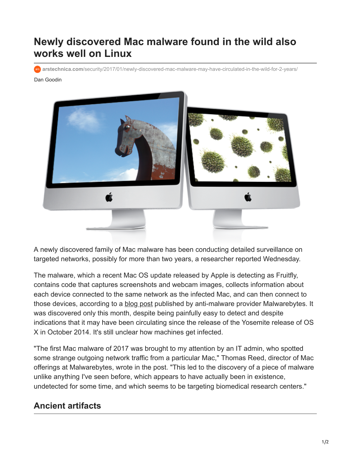## **Newly discovered Mac malware found in the wild also works well on Linux**

**arstechnica.com**[/security/2017/01/newly-discovered-mac-malware-may-have-circulated-in-the-wild-for-2-years/](https://arstechnica.com/security/2017/01/newly-discovered-mac-malware-may-have-circulated-in-the-wild-for-2-years/)

## Dan Goodin



A newly discovered family of Mac malware has been conducting detailed surveillance on targeted networks, possibly for more than two years, a researcher reported Wednesday.

The malware, which a recent Mac OS update released by Apple is detecting as Fruitfly, contains code that captures screenshots and webcam images, collects information about each device connected to the same network as the infected Mac, and can then connect to those devices, according to a [blog post](https://blog.malwarebytes.com/threat-analysis/2017/01/new-mac-backdoor-using-antiquated-code/) published by anti-malware provider Malwarebytes. It was discovered only this month, despite being painfully easy to detect and despite indications that it may have been circulating since the release of the Yosemite release of OS X in October 2014. It's still unclear how machines get infected.

"The first Mac malware of 2017 was brought to my attention by an IT admin, who spotted some strange outgoing network traffic from a particular Mac," Thomas Reed, director of Mac offerings at Malwarebytes, wrote in the post. "This led to the discovery of a piece of malware unlike anything I've seen before, which appears to have actually been in existence, undetected for some time, and which seems to be targeting biomedical research centers."

## **Ancient artifacts**